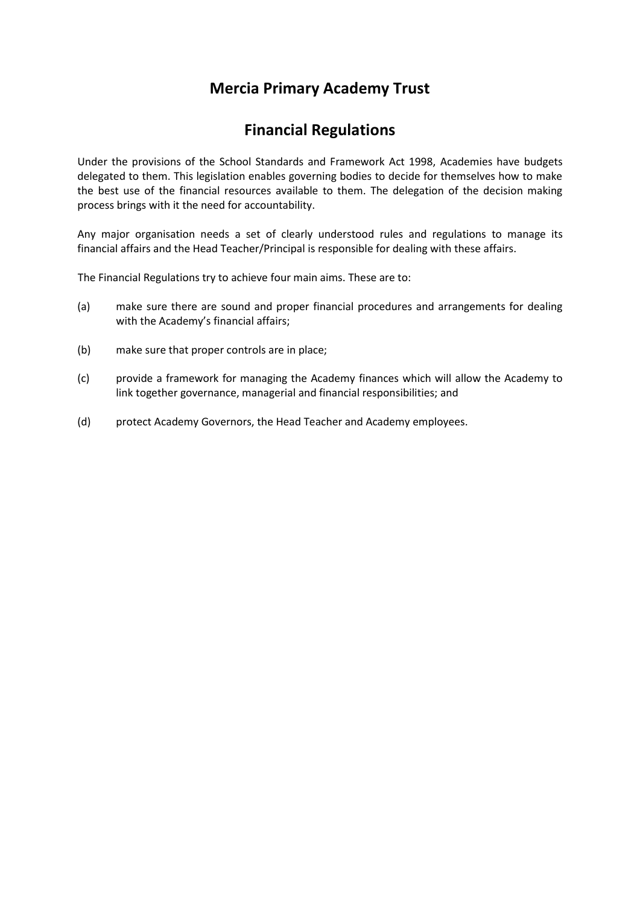# **Mercia Primary Academy Trust**

# **Financial Regulations**

Under the provisions of the School Standards and Framework Act 1998, Academies have budgets delegated to them. This legislation enables governing bodies to decide for themselves how to make the best use of the financial resources available to them. The delegation of the decision making process brings with it the need for accountability.

Any major organisation needs a set of clearly understood rules and regulations to manage its financial affairs and the Head Teacher/Principal is responsible for dealing with these affairs.

The Financial Regulations try to achieve four main aims. These are to:

- (a) make sure there are sound and proper financial procedures and arrangements for dealing with the Academy's financial affairs;
- (b) make sure that proper controls are in place;
- (c) provide a framework for managing the Academy finances which will allow the Academy to link together governance, managerial and financial responsibilities; and
- (d) protect Academy Governors, the Head Teacher and Academy employees.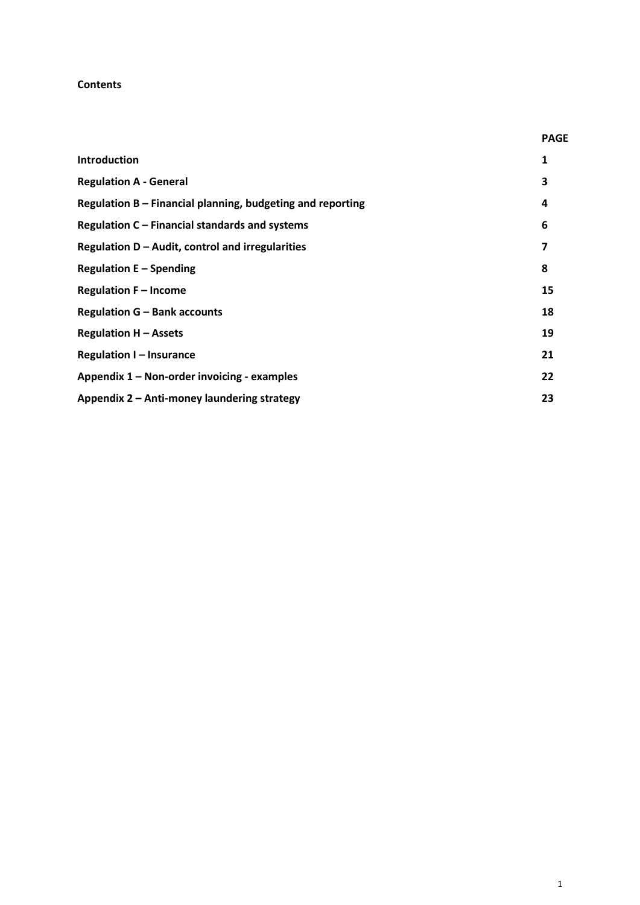#### **Contents**

|                                                            | <b>PAGE</b> |
|------------------------------------------------------------|-------------|
| <b>Introduction</b>                                        | 1           |
| <b>Regulation A - General</b>                              | 3           |
| Regulation B - Financial planning, budgeting and reporting | 4           |
| Regulation C – Financial standards and systems             | 6           |
| Regulation $D -$ Audit, control and irregularities         | 7           |
| <b>Regulation E - Spending</b>                             | 8           |
| <b>Regulation F - Income</b>                               | 15          |
| <b>Regulation G - Bank accounts</b>                        | 18          |
| <b>Regulation H - Assets</b>                               | 19          |
| <b>Regulation I-Insurance</b>                              |             |
| Appendix 1 - Non-order invoicing - examples                | 22          |
| Appendix 2 - Anti-money laundering strategy                |             |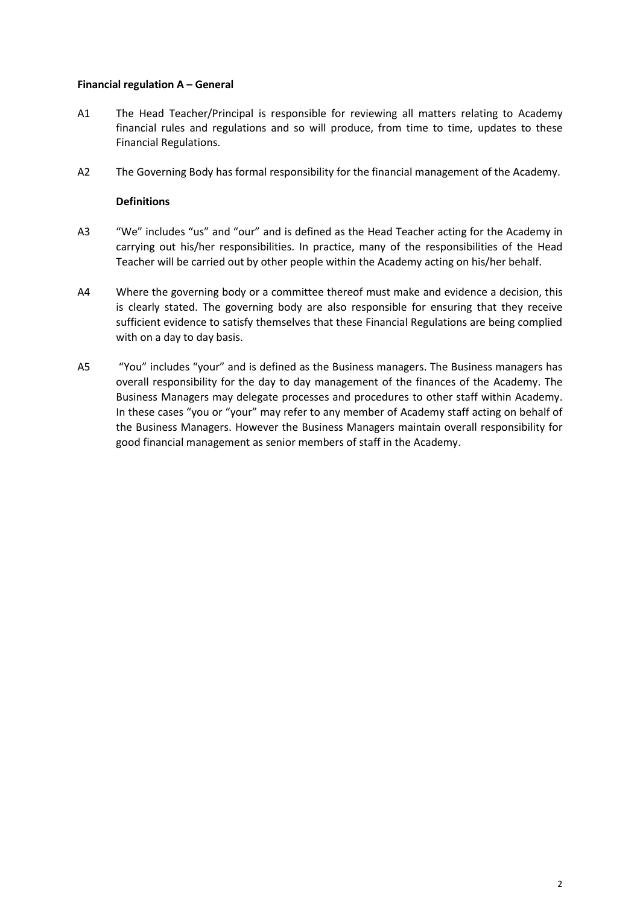## **Financial regulation A – General**

- A1 The Head Teacher/Principal is responsible for reviewing all matters relating to Academy financial rules and regulations and so will produce, from time to time, updates to these Financial Regulations.
- A2 The Governing Body has formal responsibility for the financial management of the Academy.

## **Definitions**

- A3 "We" includes "us" and "our" and is defined as the Head Teacher acting for the Academy in carrying out his/her responsibilities. In practice, many of the responsibilities of the Head Teacher will be carried out by other people within the Academy acting on his/her behalf.
- A4 Where the governing body or a committee thereof must make and evidence a decision, this is clearly stated. The governing body are also responsible for ensuring that they receive sufficient evidence to satisfy themselves that these Financial Regulations are being complied with on a day to day basis.
- A5 "You" includes "your" and is defined as the Business managers. The Business managers has overall responsibility for the day to day management of the finances of the Academy. The Business Managers may delegate processes and procedures to other staff within Academy. In these cases "you or "your" may refer to any member of Academy staff acting on behalf of the Business Managers. However the Business Managers maintain overall responsibility for good financial management as senior members of staff in the Academy.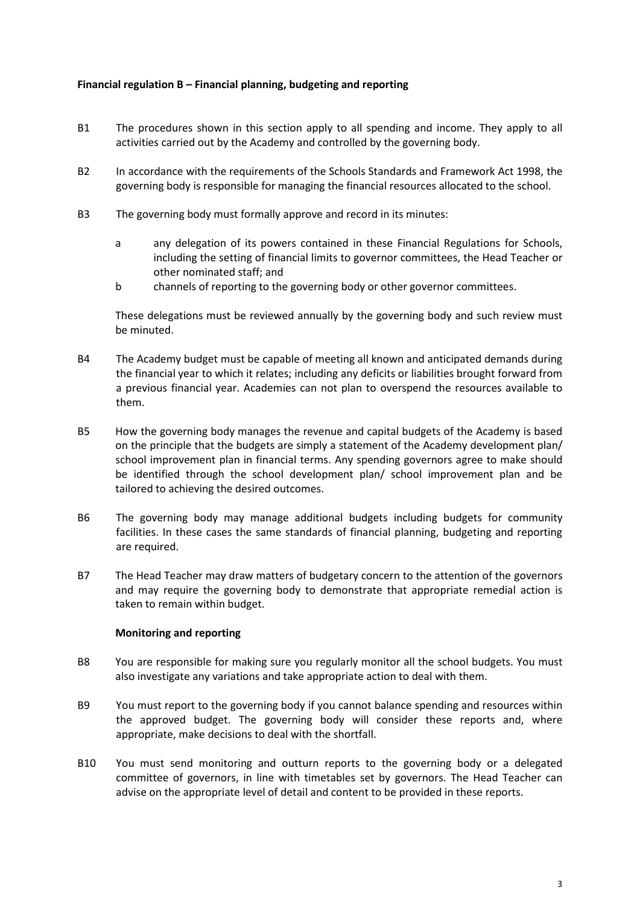## **Financial regulation B – Financial planning, budgeting and reporting**

- B1 The procedures shown in this section apply to all spending and income. They apply to all activities carried out by the Academy and controlled by the governing body.
- B2 In accordance with the requirements of the Schools Standards and Framework Act 1998, the governing body is responsible for managing the financial resources allocated to the school.
- B3 The governing body must formally approve and record in its minutes:
	- a any delegation of its powers contained in these Financial Regulations for Schools, including the setting of financial limits to governor committees, the Head Teacher or other nominated staff; and
	- b channels of reporting to the governing body or other governor committees.

These delegations must be reviewed annually by the governing body and such review must be minuted.

- B4 The Academy budget must be capable of meeting all known and anticipated demands during the financial year to which it relates; including any deficits or liabilities brought forward from a previous financial year. Academies can not plan to overspend the resources available to them.
- B5 How the governing body manages the revenue and capital budgets of the Academy is based on the principle that the budgets are simply a statement of the Academy development plan/ school improvement plan in financial terms. Any spending governors agree to make should be identified through the school development plan/ school improvement plan and be tailored to achieving the desired outcomes.
- B6 The governing body may manage additional budgets including budgets for community facilities. In these cases the same standards of financial planning, budgeting and reporting are required.
- B7 The Head Teacher may draw matters of budgetary concern to the attention of the governors and may require the governing body to demonstrate that appropriate remedial action is taken to remain within budget.

#### **Monitoring and reporting**

- B8 You are responsible for making sure you regularly monitor all the school budgets. You must also investigate any variations and take appropriate action to deal with them.
- B9 You must report to the governing body if you cannot balance spending and resources within the approved budget. The governing body will consider these reports and, where appropriate, make decisions to deal with the shortfall.
- B10 You must send monitoring and outturn reports to the governing body or a delegated committee of governors, in line with timetables set by governors. The Head Teacher can advise on the appropriate level of detail and content to be provided in these reports.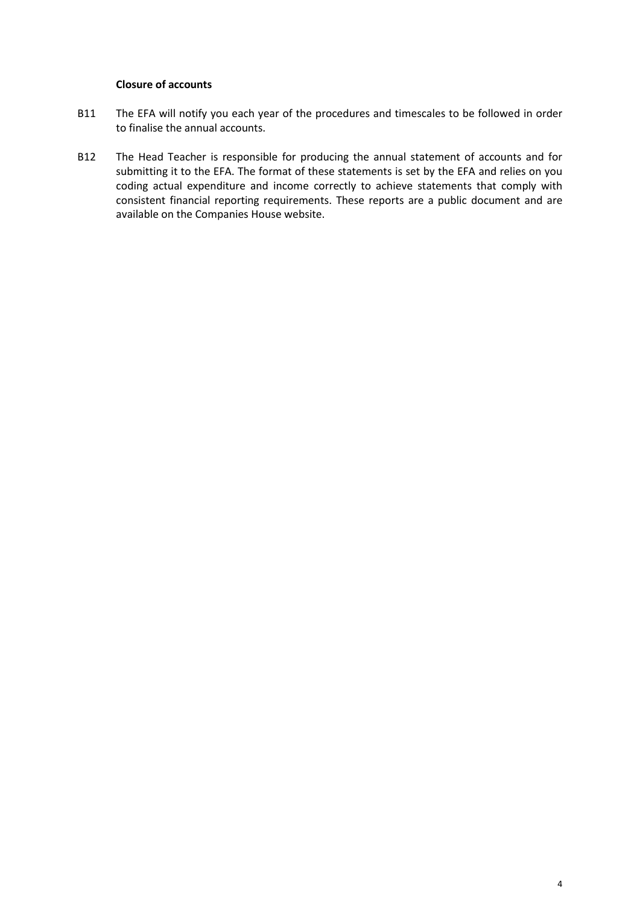## **Closure of accounts**

- B11 The EFA will notify you each year of the procedures and timescales to be followed in order to finalise the annual accounts.
- B12 The Head Teacher is responsible for producing the annual statement of accounts and for submitting it to the EFA. The format of these statements is set by the EFA and relies on you coding actual expenditure and income correctly to achieve statements that comply with consistent financial reporting requirements. These reports are a public document and are available on the Companies House website.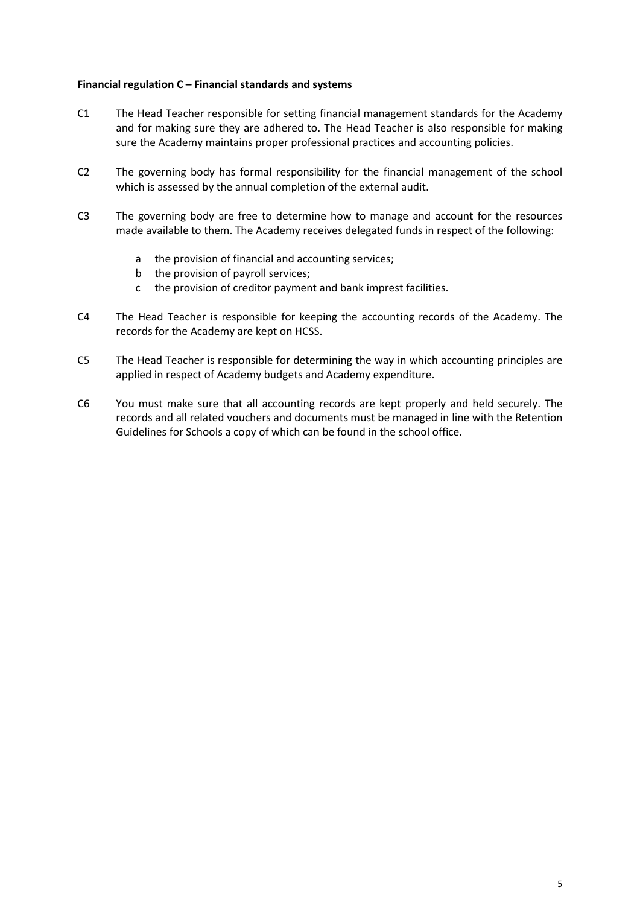## **Financial regulation C – Financial standards and systems**

- C1 The Head Teacher responsible for setting financial management standards for the Academy and for making sure they are adhered to. The Head Teacher is also responsible for making sure the Academy maintains proper professional practices and accounting policies.
- C2 The governing body has formal responsibility for the financial management of the school which is assessed by the annual completion of the external audit.
- C3 The governing body are free to determine how to manage and account for the resources made available to them. The Academy receives delegated funds in respect of the following:
	- a the provision of financial and accounting services;
	- b the provision of payroll services;
	- c the provision of creditor payment and bank imprest facilities.
- C4 The Head Teacher is responsible for keeping the accounting records of the Academy. The records for the Academy are kept on HCSS.
- C5 The Head Teacher is responsible for determining the way in which accounting principles are applied in respect of Academy budgets and Academy expenditure.
- C6 You must make sure that all accounting records are kept properly and held securely. The records and all related vouchers and documents must be managed in line with the Retention Guidelines for Schools a copy of which can be found in the school office.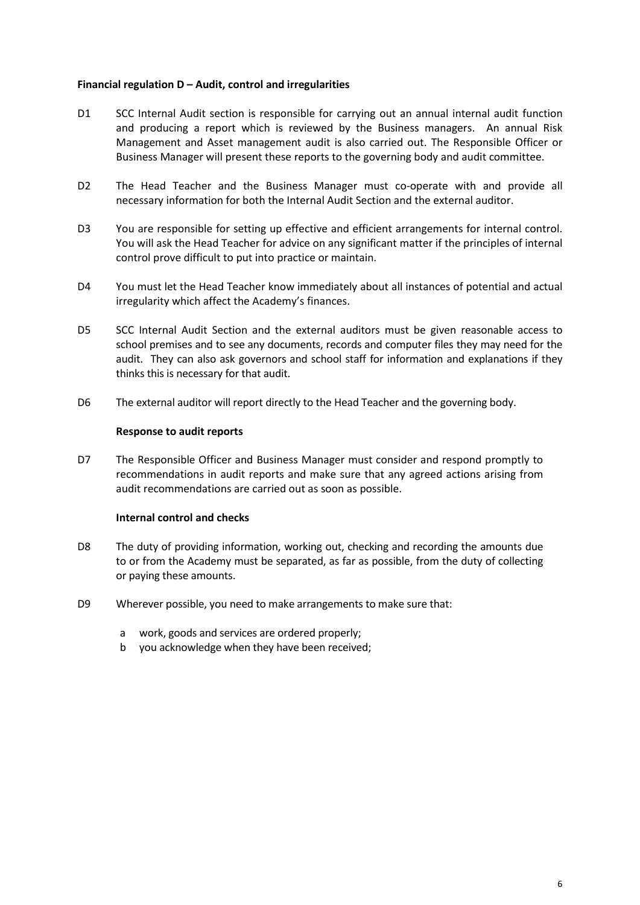#### **Financial regulation D – Audit, control and irregularities**

- D1 SCC Internal Audit section is responsible for carrying out an annual internal audit function and producing a report which is reviewed by the Business managers. An annual Risk Management and Asset management audit is also carried out. The Responsible Officer or Business Manager will present these reports to the governing body and audit committee.
- D2 The Head Teacher and the Business Manager must co-operate with and provide all necessary information for both the Internal Audit Section and the external auditor.
- D3 You are responsible for setting up effective and efficient arrangements for internal control. You will ask the Head Teacher for advice on any significant matter if the principles of internal control prove difficult to put into practice or maintain.
- D4 You must let the Head Teacher know immediately about all instances of potential and actual irregularity which affect the Academy's finances.
- D5 SCC Internal Audit Section and the external auditors must be given reasonable access to school premises and to see any documents, records and computer files they may need for the audit. They can also ask governors and school staff for information and explanations if they thinks this is necessary for that audit.
- D6 The external auditor will report directly to the Head Teacher and the governing body.

#### **Response to audit reports**

D7 The Responsible Officer and Business Manager must consider and respond promptly to recommendations in audit reports and make sure that any agreed actions arising from audit recommendations are carried out as soon as possible.

#### **Internal control and checks**

- D8 The duty of providing information, working out, checking and recording the amounts due to or from the Academy must be separated, as far as possible, from the duty of collecting or paying these amounts.
- D9 Wherever possible, you need to make arrangements to make sure that:
	- a work, goods and services are ordered properly;
	- b you acknowledge when they have been received;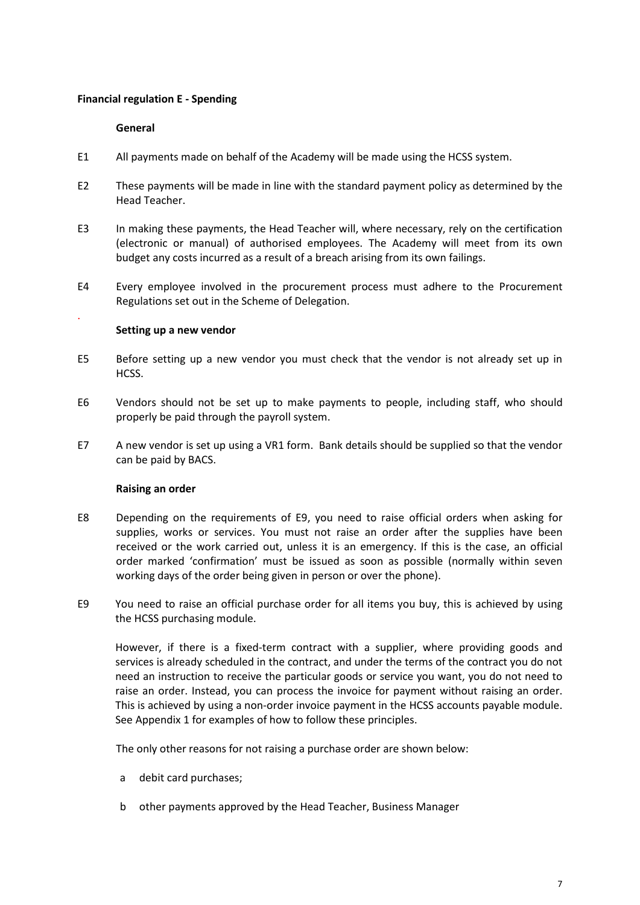## **Financial regulation E - Spending**

#### **General**

.

- E1 All payments made on behalf of the Academy will be made using the HCSS system.
- E2 These payments will be made in line with the standard payment policy as determined by the Head Teacher.
- E3 In making these payments, the Head Teacher will, where necessary, rely on the certification (electronic or manual) of authorised employees. The Academy will meet from its own budget any costs incurred as a result of a breach arising from its own failings.
- E4 Every employee involved in the procurement process must adhere to the Procurement Regulations set out in the Scheme of Delegation.

#### **Setting up a new vendor**

- E5 Before setting up a new vendor you must check that the vendor is not already set up in HCSS.
- E6 Vendors should not be set up to make payments to people, including staff, who should properly be paid through the payroll system.
- E7 A new vendor is set up using a VR1 form. Bank details should be supplied so that the vendor can be paid by BACS.

#### **Raising an order**

- E8 Depending on the requirements of E9, you need to raise official orders when asking for supplies, works or services. You must not raise an order after the supplies have been received or the work carried out, unless it is an emergency. If this is the case, an official order marked 'confirmation' must be issued as soon as possible (normally within seven working days of the order being given in person or over the phone).
- E9 You need to raise an official purchase order for all items you buy, this is achieved by using the HCSS purchasing module.

However, if there is a fixed-term contract with a supplier, where providing goods and services is already scheduled in the contract, and under the terms of the contract you do not need an instruction to receive the particular goods or service you want, you do not need to raise an order. Instead, you can process the invoice for payment without raising an order. This is achieved by using a non-order invoice payment in the HCSS accounts payable module. See Appendix 1 for examples of how to follow these principles.

The only other reasons for not raising a purchase order are shown below:

- a debit card purchases;
- b other payments approved by the Head Teacher, Business Manager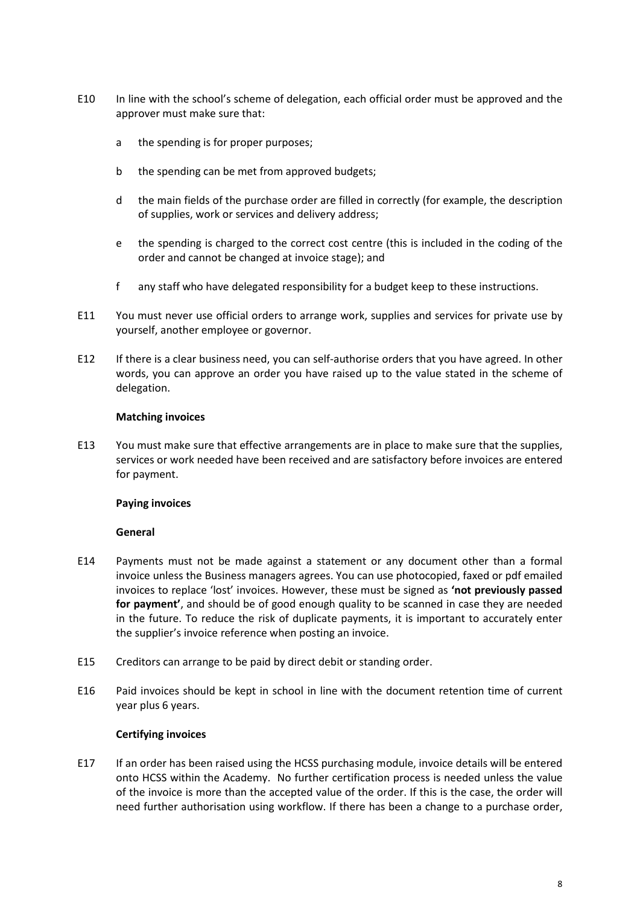- E10 In line with the school's scheme of delegation, each official order must be approved and the approver must make sure that:
	- a the spending is for proper purposes;
	- b the spending can be met from approved budgets;
	- d the main fields of the purchase order are filled in correctly (for example, the description of supplies, work or services and delivery address;
	- e the spending is charged to the correct cost centre (this is included in the coding of the order and cannot be changed at invoice stage); and
	- f any staff who have delegated responsibility for a budget keep to these instructions.
- E11 You must never use official orders to arrange work, supplies and services for private use by yourself, another employee or governor.
- E12 If there is a clear business need, you can self-authorise orders that you have agreed. In other words, you can approve an order you have raised up to the value stated in the scheme of delegation.

#### **Matching invoices**

E13 You must make sure that effective arrangements are in place to make sure that the supplies, services or work needed have been received and are satisfactory before invoices are entered for payment.

#### **Paying invoices**

#### **General**

- E14 Payments must not be made against a statement or any document other than a formal invoice unless the Business managers agrees. You can use photocopied, faxed or pdf emailed invoices to replace 'lost' invoices. However, these must be signed as **'not previously passed for payment'**, and should be of good enough quality to be scanned in case they are needed in the future. To reduce the risk of duplicate payments, it is important to accurately enter the supplier's invoice reference when posting an invoice.
- E15 Creditors can arrange to be paid by direct debit or standing order.
- E16 Paid invoices should be kept in school in line with the document retention time of current year plus 6 years.

## **Certifying invoices**

E17 If an order has been raised using the HCSS purchasing module, invoice details will be entered onto HCSS within the Academy. No further certification process is needed unless the value of the invoice is more than the accepted value of the order. If this is the case, the order will need further authorisation using workflow. If there has been a change to a purchase order,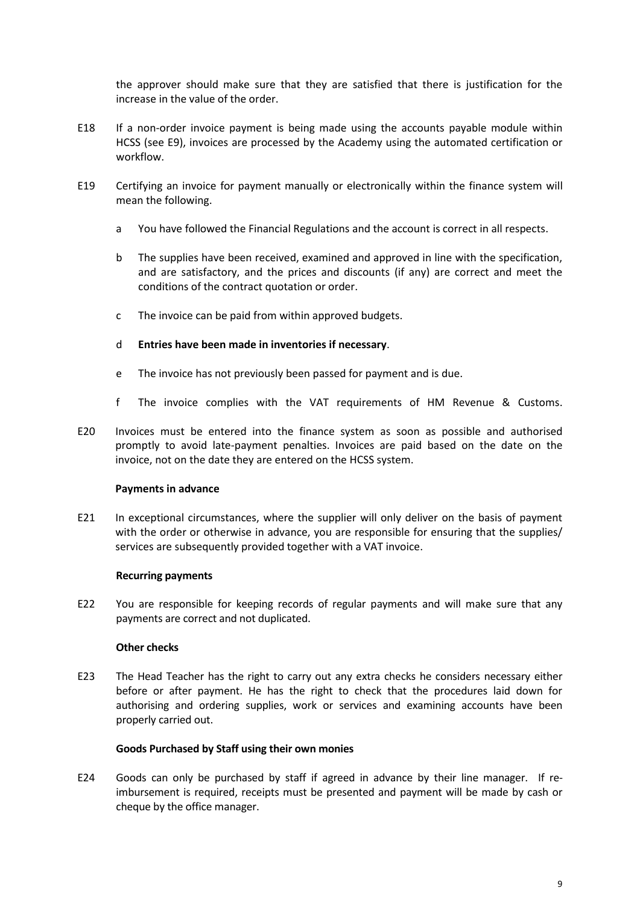the approver should make sure that they are satisfied that there is justification for the increase in the value of the order.

- E18 If a non-order invoice payment is being made using the accounts payable module within HCSS (see E9), invoices are processed by the Academy using the automated certification or workflow.
- E19 Certifying an invoice for payment manually or electronically within the finance system will mean the following.
	- a You have followed the Financial Regulations and the account is correct in all respects.
	- b The supplies have been received, examined and approved in line with the specification, and are satisfactory, and the prices and discounts (if any) are correct and meet the conditions of the contract quotation or order.
	- c The invoice can be paid from within approved budgets.
	- d **Entries have been made in inventories if necessary**.
	- e The invoice has not previously been passed for payment and is due.
	- f The invoice complies with the VAT requirements of HM Revenue & Customs.
- E20 Invoices must be entered into the finance system as soon as possible and authorised promptly to avoid late-payment penalties. Invoices are paid based on the date on the invoice, not on the date they are entered on the HCSS system.

#### **Payments in advance**

E21 In exceptional circumstances, where the supplier will only deliver on the basis of payment with the order or otherwise in advance, you are responsible for ensuring that the supplies/ services are subsequently provided together with a VAT invoice.

#### **Recurring payments**

E22 You are responsible for keeping records of regular payments and will make sure that any payments are correct and not duplicated.

#### **Other checks**

E23 The Head Teacher has the right to carry out any extra checks he considers necessary either before or after payment. He has the right to check that the procedures laid down for authorising and ordering supplies, work or services and examining accounts have been properly carried out.

#### **Goods Purchased by Staff using their own monies**

E24 Goods can only be purchased by staff if agreed in advance by their line manager. If reimbursement is required, receipts must be presented and payment will be made by cash or cheque by the office manager.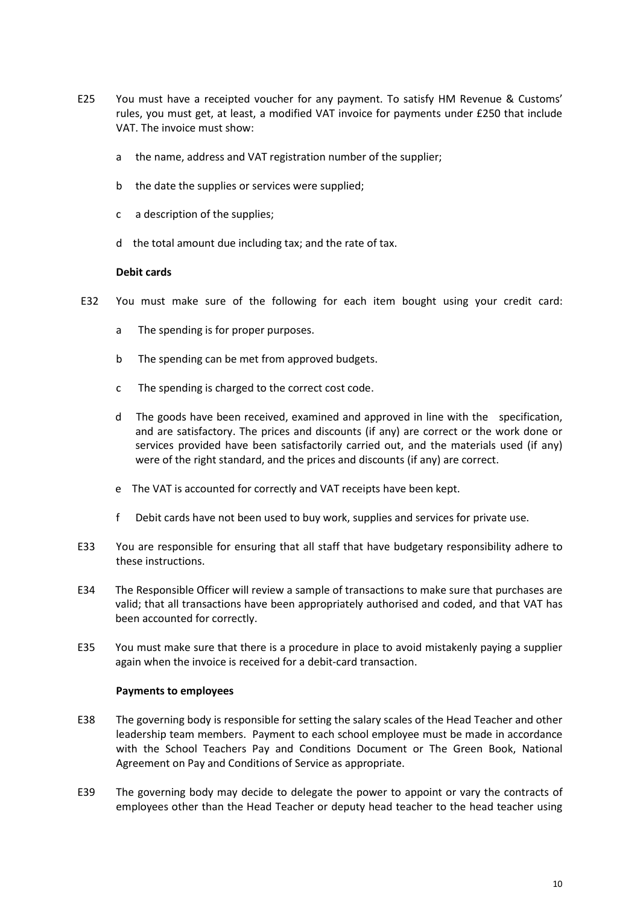- E25 You must have a receipted voucher for any payment. To satisfy HM Revenue & Customs' rules, you must get, at least, a modified VAT invoice for payments under £250 that include VAT. The invoice must show:
	- a the name, address and VAT registration number of the supplier;
	- b the date the supplies or services were supplied;
	- c a description of the supplies;
	- d the total amount due including tax; and the rate of tax.

#### **Debit cards**

- E32 You must make sure of the following for each item bought using your credit card:
	- a The spending is for proper purposes.
	- b The spending can be met from approved budgets.
	- c The spending is charged to the correct cost code.
	- d The goods have been received, examined and approved in line with the specification, and are satisfactory. The prices and discounts (if any) are correct or the work done or services provided have been satisfactorily carried out, and the materials used (if any) were of the right standard, and the prices and discounts (if any) are correct.
	- e The VAT is accounted for correctly and VAT receipts have been kept.
	- f Debit cards have not been used to buy work, supplies and services for private use.
- E33 You are responsible for ensuring that all staff that have budgetary responsibility adhere to these instructions.
- E34 The Responsible Officer will review a sample of transactions to make sure that purchases are valid; that all transactions have been appropriately authorised and coded, and that VAT has been accounted for correctly.
- E35 You must make sure that there is a procedure in place to avoid mistakenly paying a supplier again when the invoice is received for a debit-card transaction.

#### **Payments to employees**

- E38 The governing body is responsible for setting the salary scales of the Head Teacher and other leadership team members. Payment to each school employee must be made in accordance with the School Teachers Pay and Conditions Document or The Green Book, National Agreement on Pay and Conditions of Service as appropriate.
- E39 The governing body may decide to delegate the power to appoint or vary the contracts of employees other than the Head Teacher or deputy head teacher to the head teacher using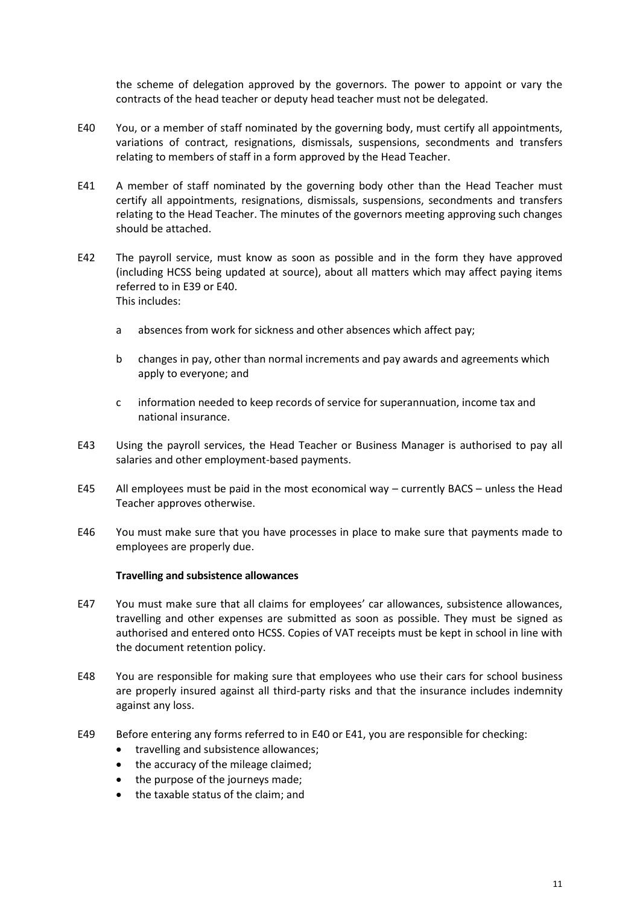the scheme of delegation approved by the governors. The power to appoint or vary the contracts of the head teacher or deputy head teacher must not be delegated.

- E40 You, or a member of staff nominated by the governing body, must certify all appointments, variations of contract, resignations, dismissals, suspensions, secondments and transfers relating to members of staff in a form approved by the Head Teacher.
- E41 A member of staff nominated by the governing body other than the Head Teacher must certify all appointments, resignations, dismissals, suspensions, secondments and transfers relating to the Head Teacher. The minutes of the governors meeting approving such changes should be attached.
- E42 The payroll service, must know as soon as possible and in the form they have approved (including HCSS being updated at source), about all matters which may affect paying items referred to in E39 or E40. This includes:
	- a absences from work for sickness and other absences which affect pay;
	- b changes in pay, other than normal increments and pay awards and agreements which apply to everyone; and
	- c information needed to keep records of service for superannuation, income tax and national insurance.
- E43 Using the payroll services, the Head Teacher or Business Manager is authorised to pay all salaries and other employment-based payments.
- E45 All employees must be paid in the most economical way currently BACS unless the Head Teacher approves otherwise.
- E46 You must make sure that you have processes in place to make sure that payments made to employees are properly due.

#### **Travelling and subsistence allowances**

- E47 You must make sure that all claims for employees' car allowances, subsistence allowances, travelling and other expenses are submitted as soon as possible. They must be signed as authorised and entered onto HCSS. Copies of VAT receipts must be kept in school in line with the document retention policy.
- E48 You are responsible for making sure that employees who use their cars for school business are properly insured against all third-party risks and that the insurance includes indemnity against any loss.
- E49 Before entering any forms referred to in E40 or E41, you are responsible for checking:
	- travelling and subsistence allowances;
	- the accuracy of the mileage claimed;
	- the purpose of the journeys made;
	- the taxable status of the claim; and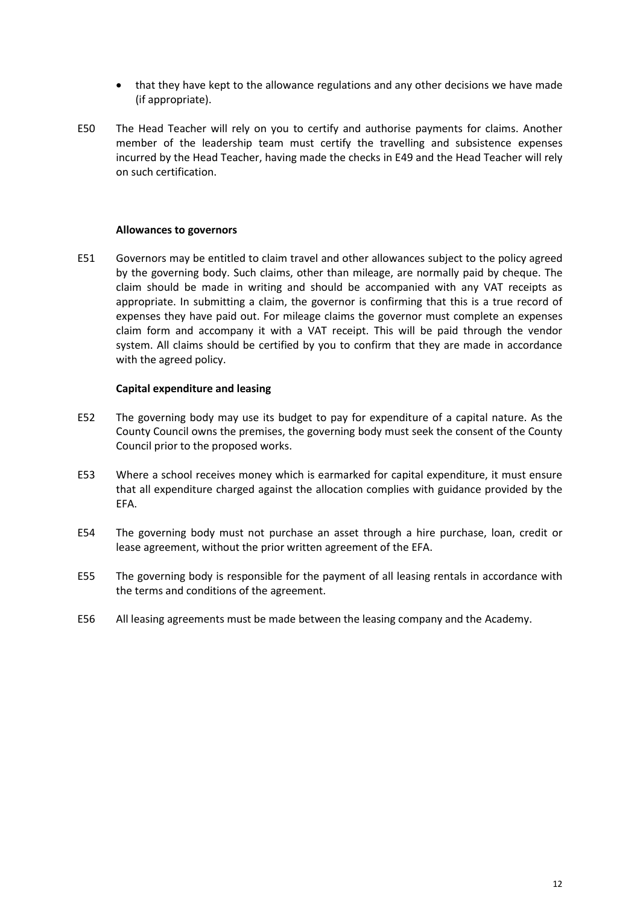- that they have kept to the allowance regulations and any other decisions we have made (if appropriate).
- E50 The Head Teacher will rely on you to certify and authorise payments for claims. Another member of the leadership team must certify the travelling and subsistence expenses incurred by the Head Teacher, having made the checks in E49 and the Head Teacher will rely on such certification.

#### **Allowances to governors**

E51 Governors may be entitled to claim travel and other allowances subject to the policy agreed by the governing body. Such claims, other than mileage, are normally paid by cheque. The claim should be made in writing and should be accompanied with any VAT receipts as appropriate. In submitting a claim, the governor is confirming that this is a true record of expenses they have paid out. For mileage claims the governor must complete an expenses claim form and accompany it with a VAT receipt. This will be paid through the vendor system. All claims should be certified by you to confirm that they are made in accordance with the agreed policy.

#### **Capital expenditure and leasing**

- E52 The governing body may use its budget to pay for expenditure of a capital nature. As the County Council owns the premises, the governing body must seek the consent of the County Council prior to the proposed works.
- E53 Where a school receives money which is earmarked for capital expenditure, it must ensure that all expenditure charged against the allocation complies with guidance provided by the EFA.
- E54 The governing body must not purchase an asset through a hire purchase, loan, credit or lease agreement, without the prior written agreement of the EFA.
- E55 The governing body is responsible for the payment of all leasing rentals in accordance with the terms and conditions of the agreement.
- E56 All leasing agreements must be made between the leasing company and the Academy.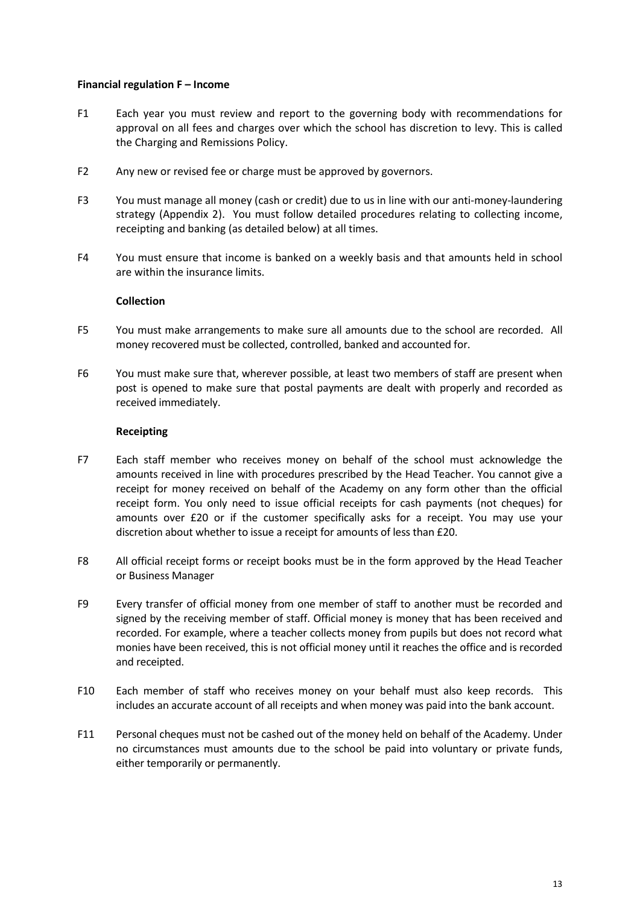#### **Financial regulation F – Income**

- F1 Each year you must review and report to the governing body with recommendations for approval on all fees and charges over which the school has discretion to levy. This is called the Charging and Remissions Policy.
- F2 Any new or revised fee or charge must be approved by governors.
- F3 You must manage all money (cash or credit) due to us in line with our anti-money-laundering strategy (Appendix 2). You must follow detailed procedures relating to collecting income, receipting and banking (as detailed below) at all times.
- F4 You must ensure that income is banked on a weekly basis and that amounts held in school are within the insurance limits.

## **Collection**

- F5 You must make arrangements to make sure all amounts due to the school are recorded. All money recovered must be collected, controlled, banked and accounted for.
- F6 You must make sure that, wherever possible, at least two members of staff are present when post is opened to make sure that postal payments are dealt with properly and recorded as received immediately.

#### **Receipting**

- F7 Each staff member who receives money on behalf of the school must acknowledge the amounts received in line with procedures prescribed by the Head Teacher. You cannot give a receipt for money received on behalf of the Academy on any form other than the official receipt form. You only need to issue official receipts for cash payments (not cheques) for amounts over £20 or if the customer specifically asks for a receipt. You may use your discretion about whether to issue a receipt for amounts of less than £20.
- F8 All official receipt forms or receipt books must be in the form approved by the Head Teacher or Business Manager
- F9 Every transfer of official money from one member of staff to another must be recorded and signed by the receiving member of staff. Official money is money that has been received and recorded. For example, where a teacher collects money from pupils but does not record what monies have been received, this is not official money until it reaches the office and is recorded and receipted.
- F10 Each member of staff who receives money on your behalf must also keep records. This includes an accurate account of all receipts and when money was paid into the bank account.
- F11 Personal cheques must not be cashed out of the money held on behalf of the Academy. Under no circumstances must amounts due to the school be paid into voluntary or private funds, either temporarily or permanently.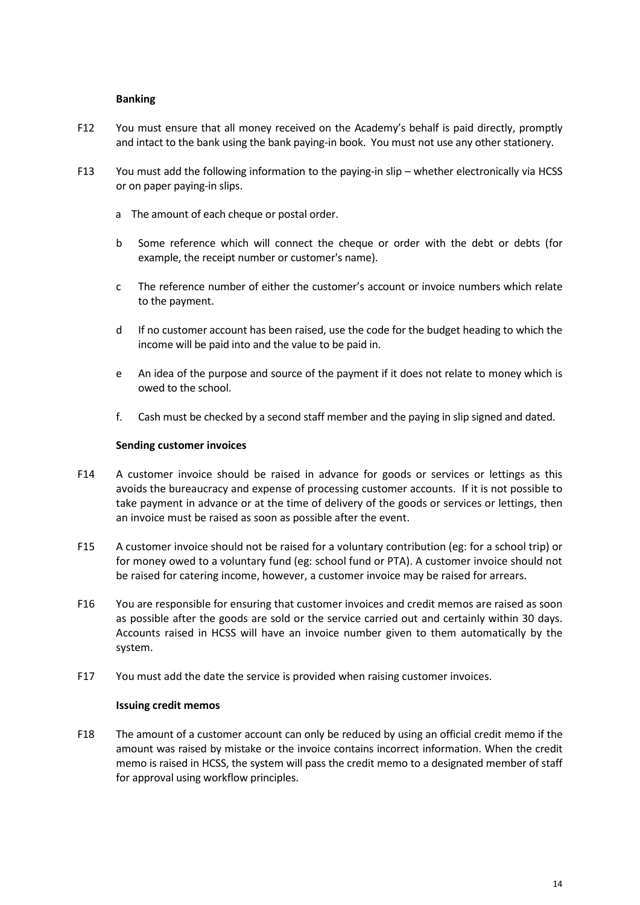#### **Banking**

- F12 You must ensure that all money received on the Academy's behalf is paid directly, promptly and intact to the bank using the bank paying-in book. You must not use any other stationery.
- F13 You must add the following information to the paying-in slip whether electronically via HCSS or on paper paying-in slips.
	- a The amount of each cheque or postal order.
	- b Some reference which will connect the cheque or order with the debt or debts (for example, the receipt number or customer's name).
	- c The reference number of either the customer's account or invoice numbers which relate to the payment.
	- d If no customer account has been raised, use the code for the budget heading to which the income will be paid into and the value to be paid in.
	- e An idea of the purpose and source of the payment if it does not relate to money which is owed to the school.
	- f. Cash must be checked by a second staff member and the paying in slip signed and dated.

#### **Sending customer invoices**

- F14 A customer invoice should be raised in advance for goods or services or lettings as this avoids the bureaucracy and expense of processing customer accounts. If it is not possible to take payment in advance or at the time of delivery of the goods or services or lettings, then an invoice must be raised as soon as possible after the event.
- F15 A customer invoice should not be raised for a voluntary contribution (eg: for a school trip) or for money owed to a voluntary fund (eg: school fund or PTA). A customer invoice should not be raised for catering income, however, a customer invoice may be raised for arrears.
- F16 You are responsible for ensuring that customer invoices and credit memos are raised as soon as possible after the goods are sold or the service carried out and certainly within 30 days. Accounts raised in HCSS will have an invoice number given to them automatically by the system.
- F17 You must add the date the service is provided when raising customer invoices.

#### **Issuing credit memos**

F18 The amount of a customer account can only be reduced by using an official credit memo if the amount was raised by mistake or the invoice contains incorrect information. When the credit memo is raised in HCSS, the system will pass the credit memo to a designated member of staff for approval using workflow principles.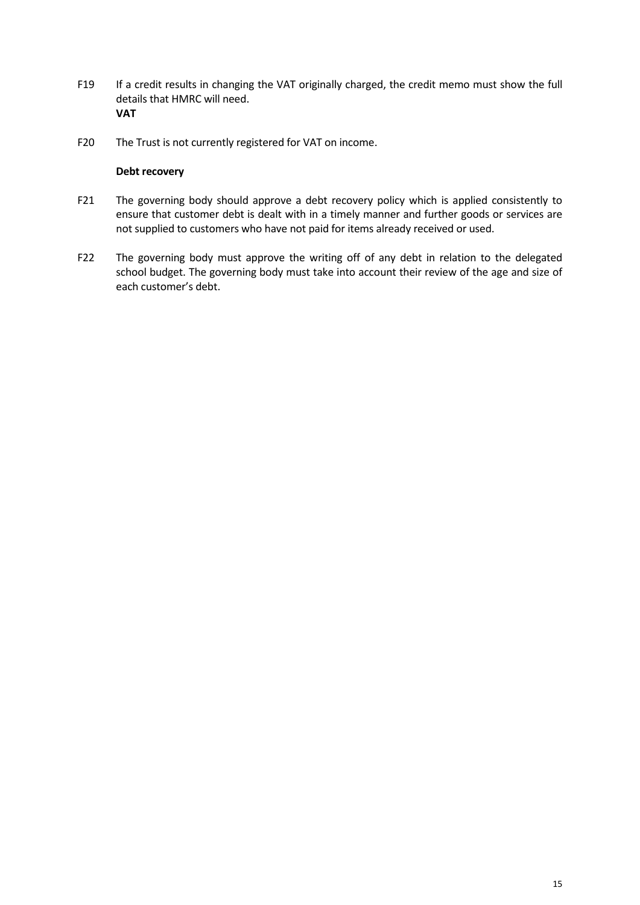- F19 If a credit results in changing the VAT originally charged, the credit memo must show the full details that HMRC will need. **VAT**
- F20 The Trust is not currently registered for VAT on income.

## **Debt recovery**

- F21 The governing body should approve a debt recovery policy which is applied consistently to ensure that customer debt is dealt with in a timely manner and further goods or services are not supplied to customers who have not paid for items already received or used.
- F22 The governing body must approve the writing off of any debt in relation to the delegated school budget. The governing body must take into account their review of the age and size of each customer's debt.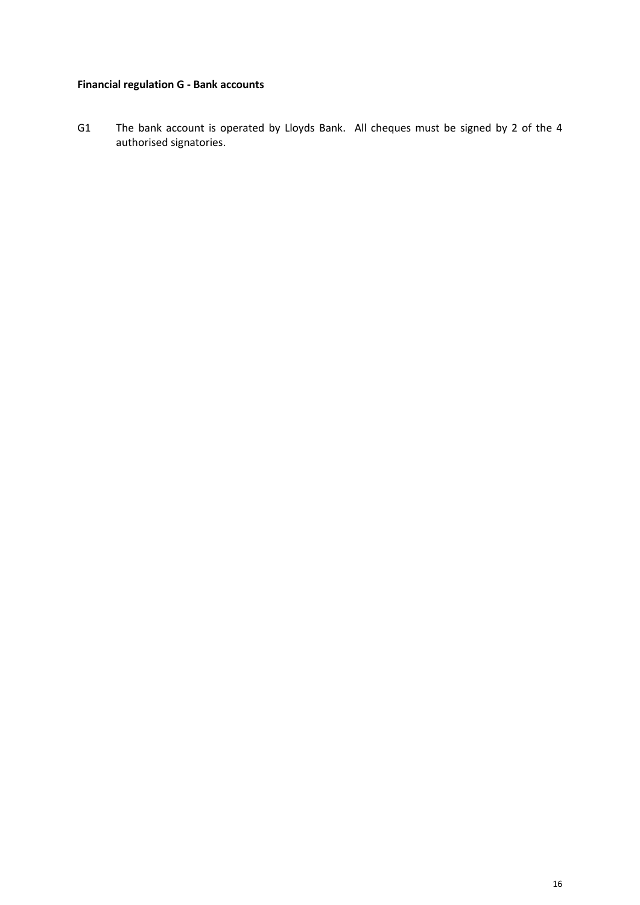# **Financial regulation G - Bank accounts**

G1 The bank account is operated by Lloyds Bank. All cheques must be signed by 2 of the 4 authorised signatories.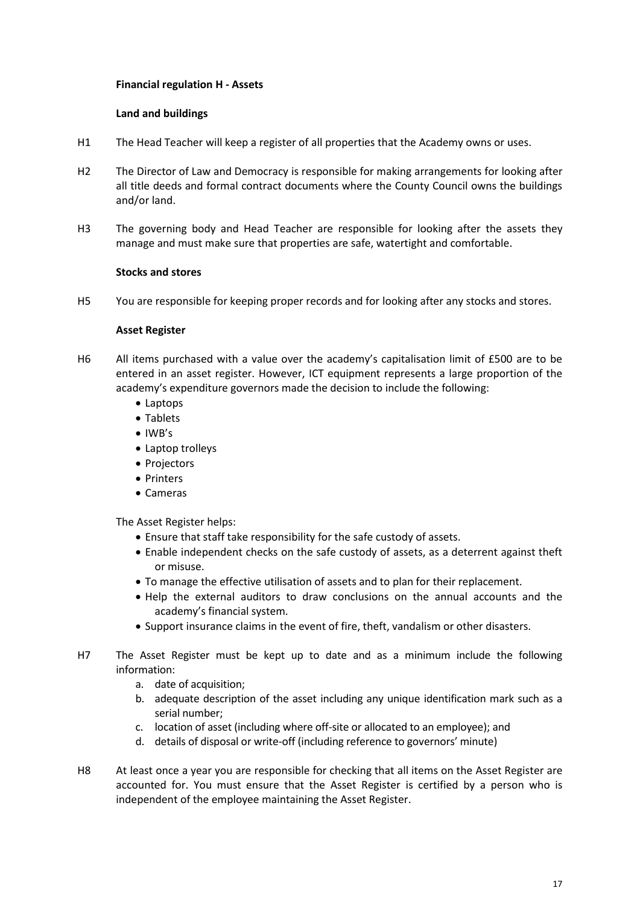## **Financial regulation H - Assets**

## **Land and buildings**

- H1 The Head Teacher will keep a register of all properties that the Academy owns or uses.
- H2 The Director of Law and Democracy is responsible for making arrangements for looking after all title deeds and formal contract documents where the County Council owns the buildings and/or land.
- H3 The governing body and Head Teacher are responsible for looking after the assets they manage and must make sure that properties are safe, watertight and comfortable.

## **Stocks and stores**

H5 You are responsible for keeping proper records and for looking after any stocks and stores.

## **Asset Register**

- H6 All items purchased with a value over the academy's capitalisation limit of £500 are to be entered in an asset register. However, ICT equipment represents a large proportion of the academy's expenditure governors made the decision to include the following:
	- Laptops
	- Tablets
	- $\bullet$  IWB's
	- Laptop trolleys
	- Projectors
	- Printers
	- Cameras

The Asset Register helps:

- Ensure that staff take responsibility for the safe custody of assets.
- Enable independent checks on the safe custody of assets, as a deterrent against theft or misuse.
- To manage the effective utilisation of assets and to plan for their replacement.
- Help the external auditors to draw conclusions on the annual accounts and the academy's financial system.
- Support insurance claims in the event of fire, theft, vandalism or other disasters.
- H7 The Asset Register must be kept up to date and as a minimum include the following information:
	- a. date of acquisition;
	- b. adequate description of the asset including any unique identification mark such as a serial number;
	- c. location of asset (including where off-site or allocated to an employee); and
	- d. details of disposal or write-off (including reference to governors' minute)
- H8 At least once a year you are responsible for checking that all items on the Asset Register are accounted for. You must ensure that the Asset Register is certified by a person who is independent of the employee maintaining the Asset Register.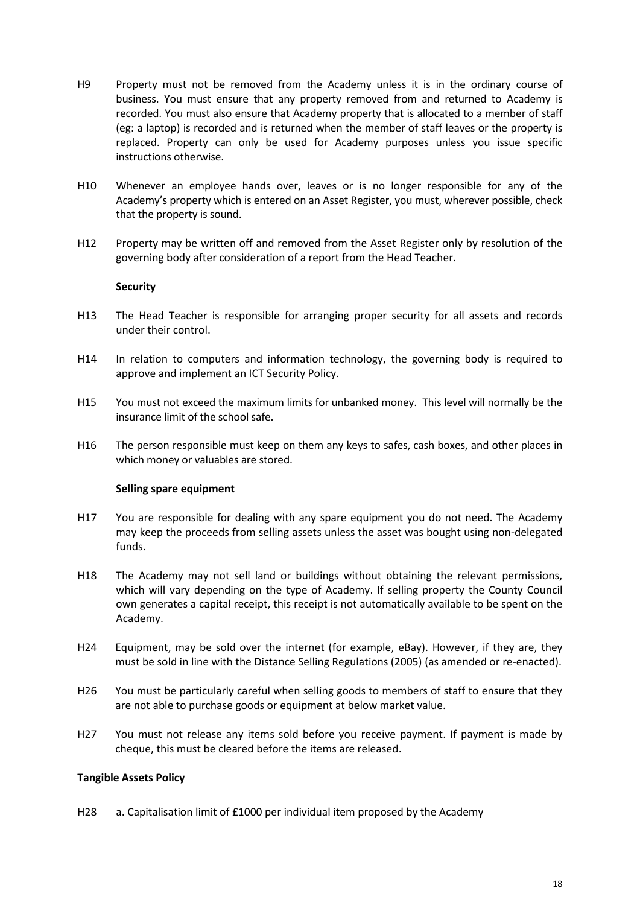- H9 Property must not be removed from the Academy unless it is in the ordinary course of business. You must ensure that any property removed from and returned to Academy is recorded. You must also ensure that Academy property that is allocated to a member of staff (eg: a laptop) is recorded and is returned when the member of staff leaves or the property is replaced. Property can only be used for Academy purposes unless you issue specific instructions otherwise.
- H10 Whenever an employee hands over, leaves or is no longer responsible for any of the Academy's property which is entered on an Asset Register, you must, wherever possible, check that the property is sound.
- H12 Property may be written off and removed from the Asset Register only by resolution of the governing body after consideration of a report from the Head Teacher.

#### **Security**

- H13 The Head Teacher is responsible for arranging proper security for all assets and records under their control.
- H14 In relation to computers and information technology, the governing body is required to approve and implement an ICT Security Policy.
- H15 You must not exceed the maximum limits for unbanked money. This level will normally be the insurance limit of the school safe.
- H16 The person responsible must keep on them any keys to safes, cash boxes, and other places in which money or valuables are stored.

#### **Selling spare equipment**

- H17 You are responsible for dealing with any spare equipment you do not need. The Academy may keep the proceeds from selling assets unless the asset was bought using non-delegated funds.
- H18 The Academy may not sell land or buildings without obtaining the relevant permissions, which will vary depending on the type of Academy. If selling property the County Council own generates a capital receipt, this receipt is not automatically available to be spent on the Academy.
- H24 Equipment, may be sold over the internet (for example, eBay). However, if they are, they must be sold in line with the Distance Selling Regulations (2005) (as amended or re-enacted).
- H26 You must be particularly careful when selling goods to members of staff to ensure that they are not able to purchase goods or equipment at below market value.
- H27 You must not release any items sold before you receive payment. If payment is made by cheque, this must be cleared before the items are released.

#### **Tangible Assets Policy**

H28 a. Capitalisation limit of £1000 per individual item proposed by the Academy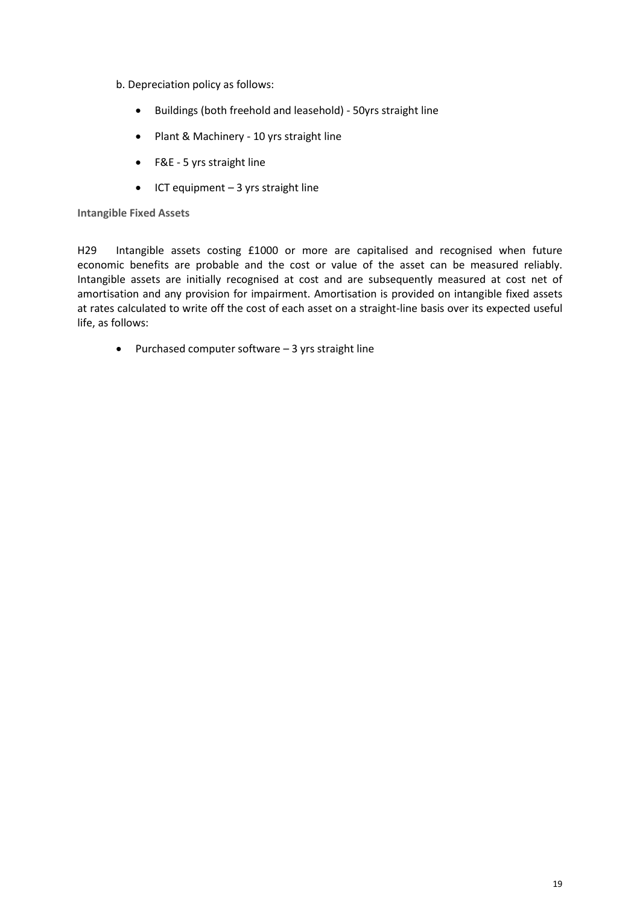- b. Depreciation policy as follows:
	- Buildings (both freehold and leasehold) 50yrs straight line
	- Plant & Machinery 10 yrs straight line
	- F&E 5 yrs straight line
	- $\bullet$  ICT equipment 3 yrs straight line

## **Intangible Fixed Assets**

H29 Intangible assets costing £1000 or more are capitalised and recognised when future economic benefits are probable and the cost or value of the asset can be measured reliably. Intangible assets are initially recognised at cost and are subsequently measured at cost net of amortisation and any provision for impairment. Amortisation is provided on intangible fixed assets at rates calculated to write off the cost of each asset on a straight-line basis over its expected useful life, as follows:

 $\bullet$  Purchased computer software  $-$  3 yrs straight line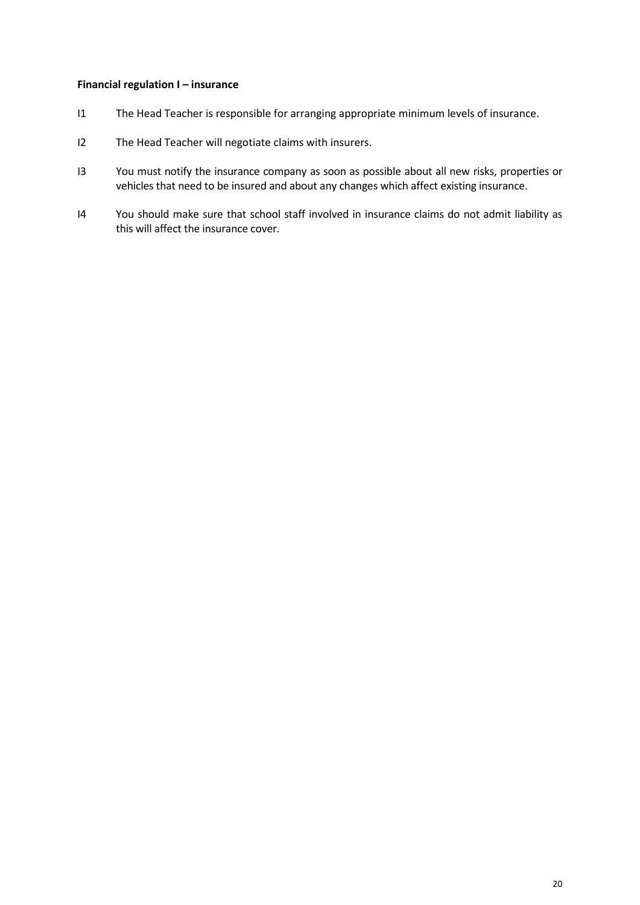#### **Financial regulation I – insurance**

- I1 The Head Teacher is responsible for arranging appropriate minimum levels of insurance.
- I2 The Head Teacher will negotiate claims with insurers.
- I3 You must notify the insurance company as soon as possible about all new risks, properties or vehicles that need to be insured and about any changes which affect existing insurance.
- I4 You should make sure that school staff involved in insurance claims do not admit liability as this will affect the insurance cover.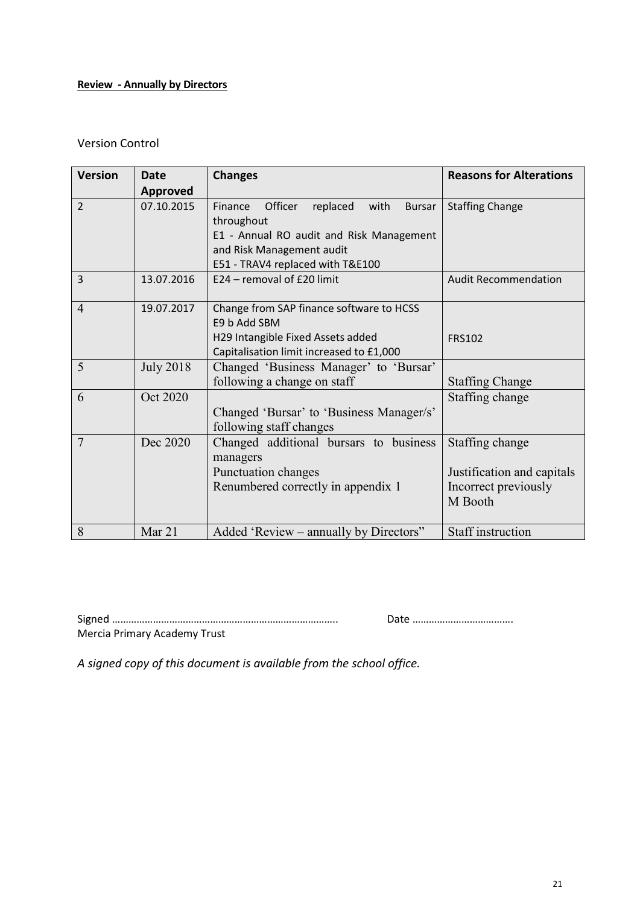# **Review - Annually by Directors**

## Version Control

| <b>Version</b> | Date             | <b>Changes</b>                                          | <b>Reasons for Alterations</b> |
|----------------|------------------|---------------------------------------------------------|--------------------------------|
|                | <b>Approved</b>  |                                                         |                                |
| $\overline{2}$ | 07.10.2015       | Officer<br>replaced<br>with<br>Finance<br><b>Bursar</b> | <b>Staffing Change</b>         |
|                |                  | throughout                                              |                                |
|                |                  | E1 - Annual RO audit and Risk Management                |                                |
|                |                  | and Risk Management audit                               |                                |
|                |                  | E51 - TRAV4 replaced with T&E100                        |                                |
| $\overline{3}$ | 13.07.2016       | E24 - removal of £20 limit                              | <b>Audit Recommendation</b>    |
| $\overline{4}$ | 19.07.2017       | Change from SAP finance software to HCSS                |                                |
|                |                  | E9 b Add SBM                                            |                                |
|                |                  | H29 Intangible Fixed Assets added                       | <b>FRS102</b>                  |
|                |                  | Capitalisation limit increased to £1,000                |                                |
| 5              | <b>July 2018</b> | Changed 'Business Manager' to 'Bursar'                  |                                |
|                |                  | following a change on staff                             | <b>Staffing Change</b>         |
| 6              | Oct 2020         |                                                         | Staffing change                |
|                |                  | Changed 'Bursar' to 'Business Manager/s'                |                                |
|                |                  | following staff changes                                 |                                |
| 7              | Dec 2020         | Changed additional bursars to business                  | Staffing change                |
|                |                  | managers                                                |                                |
|                |                  | Punctuation changes                                     | Justification and capitals     |
|                |                  | Renumbered correctly in appendix 1                      | Incorrect previously           |
|                |                  |                                                         | M Booth                        |
|                |                  |                                                         |                                |
| 8              | Mar 21           | Added 'Review – annually by Directors"                  | <b>Staff</b> instruction       |

Signed ……………………………………………………………………….. Date ………………………………. Mercia Primary Academy Trust

*A signed copy of this document is available from the school office.*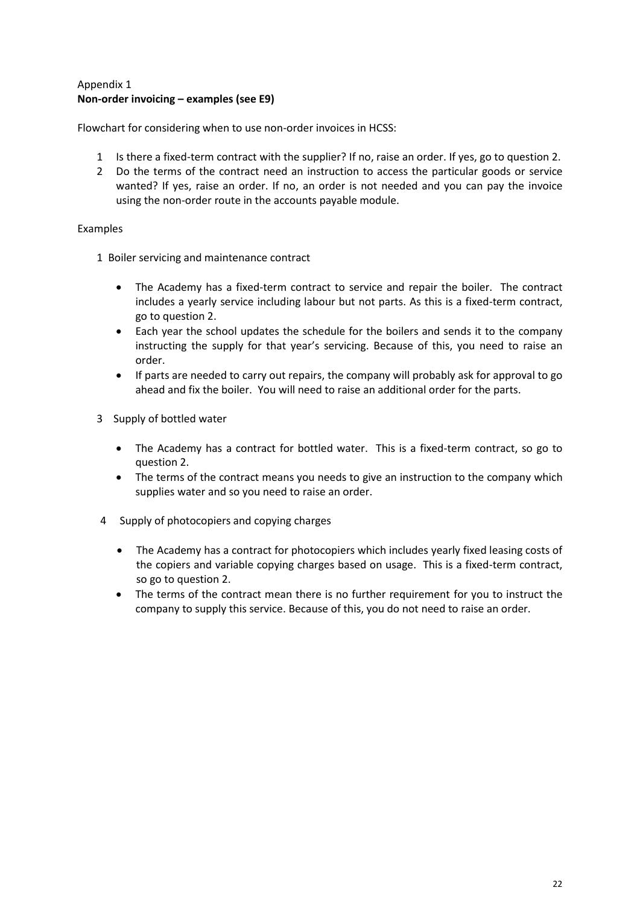## Appendix 1 **Non-order invoicing – examples (see E9)**

Flowchart for considering when to use non-order invoices in HCSS:

- 1 Is there a fixed-term contract with the supplier? If no, raise an order. If yes, go to question 2.
- 2 Do the terms of the contract need an instruction to access the particular goods or service wanted? If yes, raise an order. If no, an order is not needed and you can pay the invoice using the non-order route in the accounts payable module.

## Examples

- 1 Boiler servicing and maintenance contract
	- The Academy has a fixed-term contract to service and repair the boiler. The contract includes a yearly service including labour but not parts. As this is a fixed-term contract, go to question 2.
	- Each year the school updates the schedule for the boilers and sends it to the company instructing the supply for that year's servicing. Because of this, you need to raise an order.
	- If parts are needed to carry out repairs, the company will probably ask for approval to go ahead and fix the boiler. You will need to raise an additional order for the parts.
- 3 Supply of bottled water
	- The Academy has a contract for bottled water. This is a fixed-term contract, so go to question 2.
	- The terms of the contract means you needs to give an instruction to the company which supplies water and so you need to raise an order.
- 4 Supply of photocopiers and copying charges
	- The Academy has a contract for photocopiers which includes yearly fixed leasing costs of the copiers and variable copying charges based on usage. This is a fixed-term contract, so go to question 2.
	- The terms of the contract mean there is no further requirement for you to instruct the company to supply this service. Because of this, you do not need to raise an order.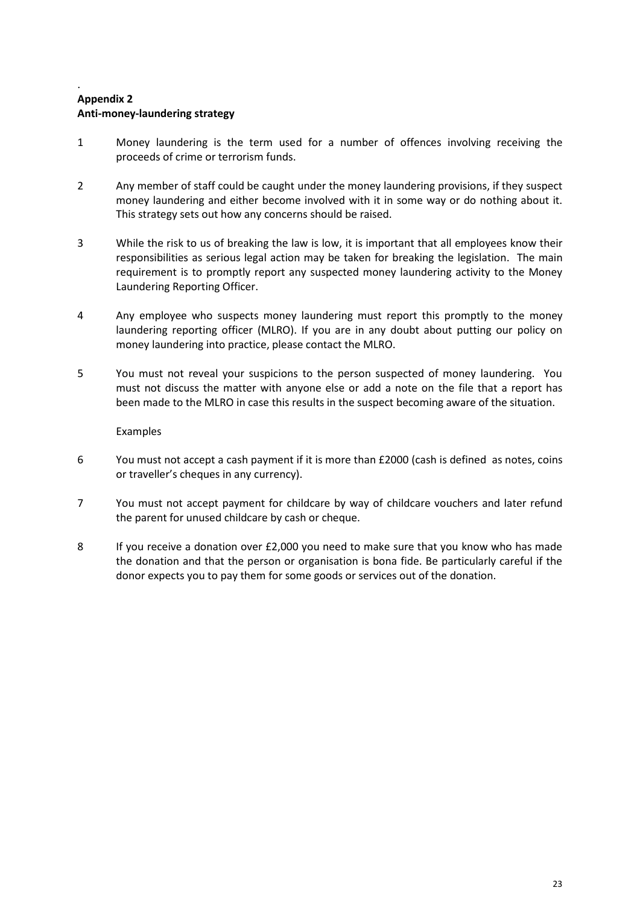## . **Appendix 2 Anti-money-laundering strategy**

- 1 Money laundering is the term used for a number of offences involving receiving the proceeds of crime or terrorism funds.
- 2 Any member of staff could be caught under the money laundering provisions, if they suspect money laundering and either become involved with it in some way or do nothing about it. This strategy sets out how any concerns should be raised.
- 3 While the risk to us of breaking the law is low, it is important that all employees know their responsibilities as serious legal action may be taken for breaking the legislation. The main requirement is to promptly report any suspected money laundering activity to the Money Laundering Reporting Officer.
- 4 Any employee who suspects money laundering must report this promptly to the money laundering reporting officer (MLRO). If you are in any doubt about putting our policy on money laundering into practice, please contact the MLRO.
- 5 You must not reveal your suspicions to the person suspected of money laundering. You must not discuss the matter with anyone else or add a note on the file that a report has been made to the MLRO in case this results in the suspect becoming aware of the situation.

Examples

- 6 You must not accept a cash payment if it is more than £2000 (cash is defined as notes, coins or traveller's cheques in any currency).
- 7 You must not accept payment for childcare by way of childcare vouchers and later refund the parent for unused childcare by cash or cheque.
- 8 If you receive a donation over £2,000 you need to make sure that you know who has made the donation and that the person or organisation is bona fide. Be particularly careful if the donor expects you to pay them for some goods or services out of the donation.